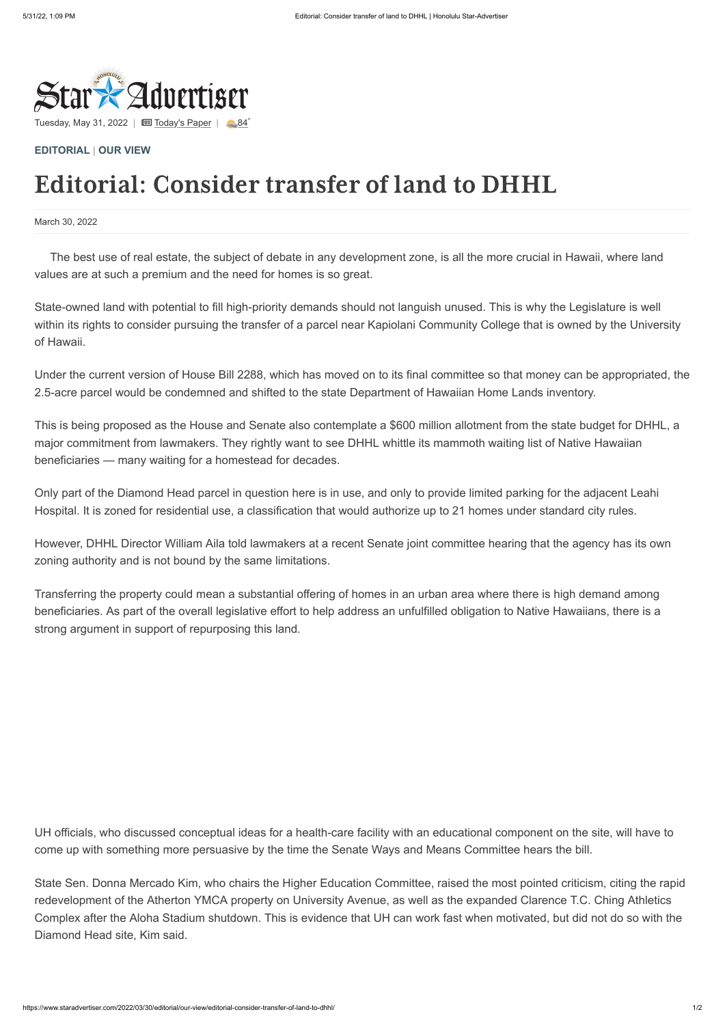

Tuesday, May 31, 2022 |  $\Box$  [Today's Paper](https://www.staradvertiser.com/redirect/?redirect_to=https%3A%2F%2Fprintreplica.staradvertiser.com%2F) |  $\Box$  [84](https://www.staradvertiser.com/hawaii-weather)°

## March 30, 2022

## **[EDITORIAL](https://www.staradvertiser.com/category/editorial/)** | **[OUR VIEW](https://www.staradvertiser.com/category/editorial/our-view/)**

## Editorial: Consider transfer of land to DHHL

The best use of real estate, the subject of debate in any development zone, is all the more crucial in Hawaii, where land values are at such a premium and the need for homes is so great.

State-owned land with potential to fill high-priority demands should not languish unused. This is why the Legislature is well within its rights to consider pursuing the transfer of a parcel near Kapiolani Community College that is owned by the University of Hawaii.

Under the current version of House Bill 2288, which has moved on to its final committee so that money can be appropriated, the 2.5-acre parcel would be condemned and shifted to the state Department of Hawaiian Home Lands inventory.

This is being proposed as the House and Senate also contemplate a \$600 million allotment from the state budget for DHHL, a major commitment from lawmakers. They rightly want to see DHHL whittle its mammoth waiting list of Native Hawaiian beneficiaries — many waiting for a homestead for decades.

Only part of the Diamond Head parcel in question here is in use, and only to provide limited parking for the adjacent Leahi Hospital. It is zoned for residential use, a classification that would authorize up to 21 homes under standard city rules.

However, DHHL Director William Aila told lawmakers at a recent Senate joint committee hearing that the agency has its own zoning authority and is not bound by the same limitations.

Transferring the property could mean a substantial offering of homes in an urban area where there is high demand among beneficiaries. As part of the overall legislative effort to help address an unfulfilled obligation to Native Hawaiians, there is a strong argument in support of repurposing this land.

UH officials, who discussed conceptual ideas for a health-care facility with an educational component on the site, will have to come up with something more persuasive by the time the Senate Ways and Means Committee hears the bill.

State Sen. Donna Mercado Kim, who chairs the Higher Education Committee, raised the most pointed criticism, citing the rapid redevelopment of the Atherton YMCA property on University Avenue, as well as the expanded Clarence T.C. Ching Athletics Complex after the Aloha Stadium shutdown. This is evidence that UH can work fast when motivated, but did not do so with the Diamond Head site, Kim said.